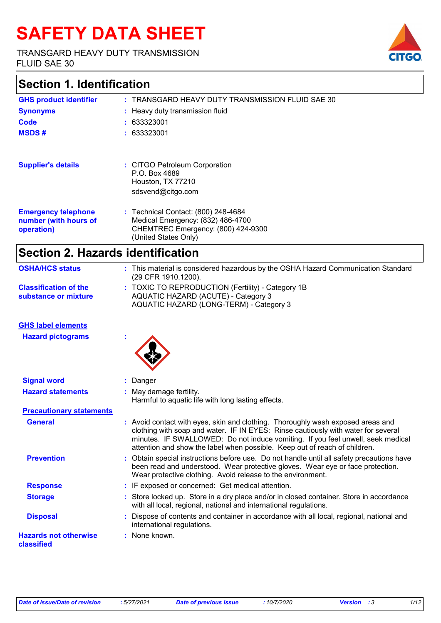# **SAFETY DATA SHEET**

TRANSGARD HEAVY DUTY TRANSMISSION FLUID SAE 30



#### **Section 1. Identification**

| <b>GHS product identifier</b>                                     | : TRANSGARD HEAVY DUTY TRANSMISSION FLUID SAE 30                                                                                       |
|-------------------------------------------------------------------|----------------------------------------------------------------------------------------------------------------------------------------|
| <b>Synonyms</b>                                                   | : Heavy duty transmission fluid                                                                                                        |
| Code                                                              | : 633323001                                                                                                                            |
| <b>MSDS#</b>                                                      | : 633323001                                                                                                                            |
|                                                                   |                                                                                                                                        |
| <b>Supplier's details</b>                                         | : CITGO Petroleum Corporation<br>P.O. Box 4689<br>Houston, TX 77210<br>sdsvend@citgo.com                                               |
| <b>Emergency telephone</b><br>number (with hours of<br>operation) | : Technical Contact: (800) 248-4684<br>Medical Emergency: (832) 486-4700<br>CHEMTREC Emergency: (800) 424-9300<br>(United States Only) |

## **Section 2. Hazards identification**

| <b>OSHA/HCS status</b>                               | : This material is considered hazardous by the OSHA Hazard Communication Standard<br>(29 CFR 1910.1200).                                                                                                                                                                                                                              |
|------------------------------------------------------|---------------------------------------------------------------------------------------------------------------------------------------------------------------------------------------------------------------------------------------------------------------------------------------------------------------------------------------|
| <b>Classification of the</b><br>substance or mixture | : TOXIC TO REPRODUCTION (Fertility) - Category 1B<br>AQUATIC HAZARD (ACUTE) - Category 3<br>AQUATIC HAZARD (LONG-TERM) - Category 3                                                                                                                                                                                                   |
| <b>GHS label elements</b>                            |                                                                                                                                                                                                                                                                                                                                       |
| <b>Hazard pictograms</b>                             |                                                                                                                                                                                                                                                                                                                                       |
| <b>Signal word</b>                                   | Danger                                                                                                                                                                                                                                                                                                                                |
| <b>Hazard statements</b>                             | : May damage fertility.<br>Harmful to aquatic life with long lasting effects.                                                                                                                                                                                                                                                         |
| <b>Precautionary statements</b>                      |                                                                                                                                                                                                                                                                                                                                       |
| <b>General</b>                                       | : Avoid contact with eyes, skin and clothing. Thoroughly wash exposed areas and<br>clothing with soap and water. IF IN EYES: Rinse cautiously with water for several<br>minutes. IF SWALLOWED: Do not induce vomiting. If you feel unwell, seek medical<br>attention and show the label when possible. Keep out of reach of children. |
| <b>Prevention</b>                                    | : Obtain special instructions before use. Do not handle until all safety precautions have<br>been read and understood. Wear protective gloves. Wear eye or face protection.<br>Wear protective clothing. Avoid release to the environment.                                                                                            |
| <b>Response</b>                                      | IF exposed or concerned: Get medical attention.                                                                                                                                                                                                                                                                                       |
| <b>Storage</b>                                       | : Store locked up. Store in a dry place and/or in closed container. Store in accordance<br>with all local, regional, national and international regulations.                                                                                                                                                                          |
| <b>Disposal</b>                                      | Dispose of contents and container in accordance with all local, regional, national and<br>international regulations.                                                                                                                                                                                                                  |
| <b>Hazards not otherwise</b><br>classified           | : None known.                                                                                                                                                                                                                                                                                                                         |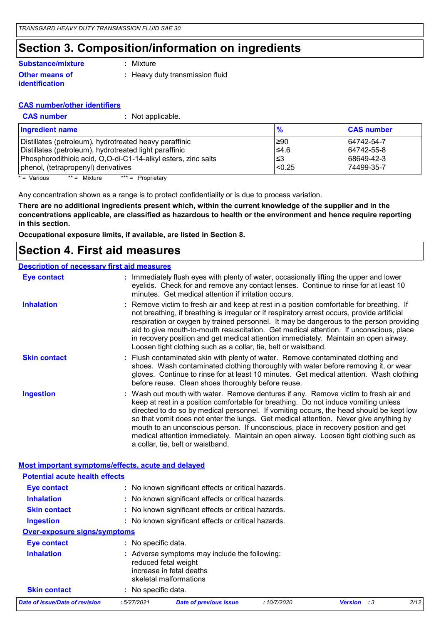## **Section 3. Composition/information on ingredients**

#### **Other means of Substance/mixture**

**identification**

**:** Mixture

**:** Heavy duty transmission fluid

#### **CAS number/other identifiers**

| <b>CAS number</b> |  |
|-------------------|--|
|-------------------|--|

**:** Not applicable.

| <b>Ingredient name</b>                                        | $\frac{9}{6}$   | <b>CAS number</b> |
|---------------------------------------------------------------|-----------------|-------------------|
| Distillates (petroleum), hydrotreated heavy paraffinic        | ≥90             | 64742-54-7        |
| Distillates (petroleum), hydrotreated light paraffinic        | ≤4.6            | 64742-55-8        |
| Phosphorodithioic acid, O,O-di-C1-14-alkyl esters, zinc salts | l≤3             | 68649-42-3        |
| phenol, (tetrapropenyl) derivatives                           | <sub>0.25</sub> | 74499-35-7        |

 $* = \text{Various}$  \*\* = Mixture \*\*\* = Proprietary

Any concentration shown as a range is to protect confidentiality or is due to process variation.

**There are no additional ingredients present which, within the current knowledge of the supplier and in the concentrations applicable, are classified as hazardous to health or the environment and hence require reporting in this section.**

**Occupational exposure limits, if available, are listed in Section 8.**

#### **Section 4. First aid measures**

#### **Description of necessary first aid measures**

| Eye contact         | : Immediately flush eyes with plenty of water, occasionally lifting the upper and lower<br>eyelids. Check for and remove any contact lenses. Continue to rinse for at least 10<br>minutes. Get medical attention if irritation occurs.                                                                                                                                                                                                                                                                                                                                             |
|---------------------|------------------------------------------------------------------------------------------------------------------------------------------------------------------------------------------------------------------------------------------------------------------------------------------------------------------------------------------------------------------------------------------------------------------------------------------------------------------------------------------------------------------------------------------------------------------------------------|
| <b>Inhalation</b>   | : Remove victim to fresh air and keep at rest in a position comfortable for breathing. If<br>not breathing, if breathing is irregular or if respiratory arrest occurs, provide artificial<br>respiration or oxygen by trained personnel. It may be dangerous to the person providing<br>aid to give mouth-to-mouth resuscitation. Get medical attention. If unconscious, place<br>in recovery position and get medical attention immediately. Maintain an open airway.<br>Loosen tight clothing such as a collar, tie, belt or waistband.                                          |
| <b>Skin contact</b> | : Flush contaminated skin with plenty of water. Remove contaminated clothing and<br>shoes. Wash contaminated clothing thoroughly with water before removing it, or wear<br>gloves. Continue to rinse for at least 10 minutes. Get medical attention. Wash clothing<br>before reuse. Clean shoes thoroughly before reuse.                                                                                                                                                                                                                                                           |
| <b>Ingestion</b>    | : Wash out mouth with water. Remove dentures if any. Remove victim to fresh air and<br>keep at rest in a position comfortable for breathing. Do not induce vomiting unless<br>directed to do so by medical personnel. If vomiting occurs, the head should be kept low<br>so that vomit does not enter the lungs. Get medical attention. Never give anything by<br>mouth to an unconscious person. If unconscious, place in recovery position and get<br>medical attention immediately. Maintain an open airway. Loosen tight clothing such as<br>a collar, tie, belt or waistband. |

| Date of issue/Date of revision                            | :5/27/2021          | <b>Date of previous issue</b>                                                                                               | :10/7/2020 | <b>Version</b> : 3 | 2/12 |
|-----------------------------------------------------------|---------------------|-----------------------------------------------------------------------------------------------------------------------------|------------|--------------------|------|
| <b>Skin contact</b>                                       | : No specific data. |                                                                                                                             |            |                    |      |
| <b>Inhalation</b>                                         |                     | : Adverse symptoms may include the following:<br>reduced fetal weight<br>increase in fetal deaths<br>skeletal malformations |            |                    |      |
| Eye contact                                               | : No specific data. |                                                                                                                             |            |                    |      |
| <b>Over-exposure signs/symptoms</b>                       |                     |                                                                                                                             |            |                    |      |
| <b>Ingestion</b>                                          |                     | : No known significant effects or critical hazards.                                                                         |            |                    |      |
| <b>Skin contact</b>                                       |                     | : No known significant effects or critical hazards.                                                                         |            |                    |      |
| <b>Inhalation</b>                                         |                     | : No known significant effects or critical hazards.                                                                         |            |                    |      |
| <b>Eye contact</b>                                        |                     | : No known significant effects or critical hazards.                                                                         |            |                    |      |
| <b>Potential acute health effects</b>                     |                     |                                                                                                                             |            |                    |      |
| <b>Most important symptoms/effects, acute and delayed</b> |                     |                                                                                                                             |            |                    |      |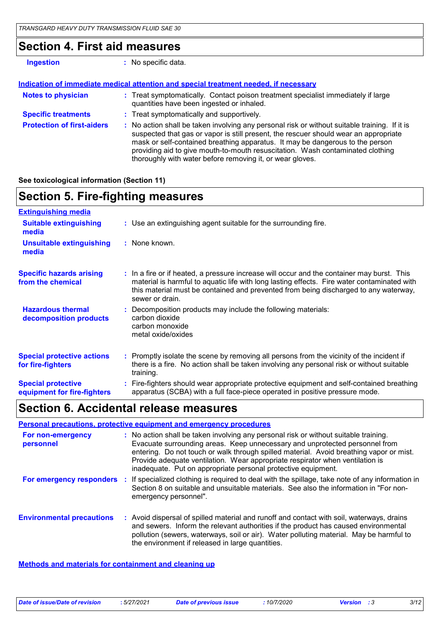## **Section 4. First aid measures**

| <b>Ingestion</b>                  | : No specific data.                                                                                                                                                                                                                                                                                                                                                                                                   |  |
|-----------------------------------|-----------------------------------------------------------------------------------------------------------------------------------------------------------------------------------------------------------------------------------------------------------------------------------------------------------------------------------------------------------------------------------------------------------------------|--|
|                                   | Indication of immediate medical attention and special treatment needed, if necessary                                                                                                                                                                                                                                                                                                                                  |  |
| <b>Notes to physician</b>         | : Treat symptomatically. Contact poison treatment specialist immediately if large<br>quantities have been ingested or inhaled.                                                                                                                                                                                                                                                                                        |  |
| <b>Specific treatments</b>        | : Treat symptomatically and supportively.                                                                                                                                                                                                                                                                                                                                                                             |  |
| <b>Protection of first-aiders</b> | : No action shall be taken involving any personal risk or without suitable training. If it is<br>suspected that gas or vapor is still present, the rescuer should wear an appropriate<br>mask or self-contained breathing apparatus. It may be dangerous to the person<br>providing aid to give mouth-to-mouth resuscitation. Wash contaminated clothing<br>thoroughly with water before removing it, or wear gloves. |  |

**See toxicological information (Section 11)**

#### **Section 5. Fire-fighting measures**

| <b>Extinguishing media</b>                               |                                                                                                                                                                                                                                                                                                      |
|----------------------------------------------------------|------------------------------------------------------------------------------------------------------------------------------------------------------------------------------------------------------------------------------------------------------------------------------------------------------|
| <b>Suitable extinguishing</b><br>media                   | : Use an extinguishing agent suitable for the surrounding fire.                                                                                                                                                                                                                                      |
| <b>Unsuitable extinguishing</b><br>media                 | : None known.                                                                                                                                                                                                                                                                                        |
| <b>Specific hazards arising</b><br>from the chemical     | : In a fire or if heated, a pressure increase will occur and the container may burst. This<br>material is harmful to aquatic life with long lasting effects. Fire water contaminated with<br>this material must be contained and prevented from being discharged to any waterway,<br>sewer or drain. |
| <b>Hazardous thermal</b><br>decomposition products       | Decomposition products may include the following materials:<br>carbon dioxide<br>carbon monoxide<br>metal oxide/oxides                                                                                                                                                                               |
| <b>Special protective actions</b><br>for fire-fighters   | : Promptly isolate the scene by removing all persons from the vicinity of the incident if<br>there is a fire. No action shall be taken involving any personal risk or without suitable<br>training.                                                                                                  |
| <b>Special protective</b><br>equipment for fire-fighters | Fire-fighters should wear appropriate protective equipment and self-contained breathing<br>apparatus (SCBA) with a full face-piece operated in positive pressure mode.                                                                                                                               |

#### **Section 6. Accidental release measures**

#### **Environmental precautions Personal precautions, protective equipment and emergency procedures :** Avoid dispersal of spilled material and runoff and contact with soil, waterways, drains **:** No action shall be taken involving any personal risk or without suitable training. Evacuate surrounding areas. Keep unnecessary and unprotected personnel from entering. Do not touch or walk through spilled material. Avoid breathing vapor or mist. Provide adequate ventilation. Wear appropriate respirator when ventilation is inadequate. Put on appropriate personal protective equipment. and sewers. Inform the relevant authorities if the product has caused environmental pollution (sewers, waterways, soil or air). Water polluting material. May be harmful to the environment if released in large quantities. **For non-emergency personnel For emergency responders** : If specialized clothing is required to deal with the spillage, take note of any information in Section 8 on suitable and unsuitable materials. See also the information in "For nonemergency personnel".

**Methods and materials for containment and cleaning up**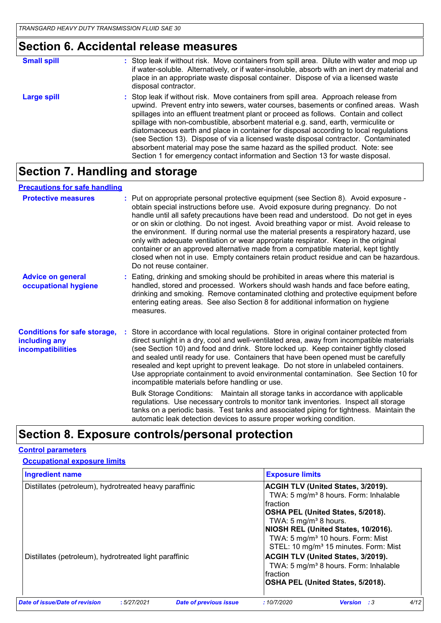## **Section 6. Accidental release measures**

| <b>Small spill</b> | : Stop leak if without risk. Move containers from spill area. Dilute with water and mop up<br>if water-soluble. Alternatively, or if water-insoluble, absorb with an inert dry material and<br>place in an appropriate waste disposal container. Dispose of via a licensed waste<br>disposal contractor.                                                                                                                                                                                                                                                                                                                                                                                                     |
|--------------------|--------------------------------------------------------------------------------------------------------------------------------------------------------------------------------------------------------------------------------------------------------------------------------------------------------------------------------------------------------------------------------------------------------------------------------------------------------------------------------------------------------------------------------------------------------------------------------------------------------------------------------------------------------------------------------------------------------------|
| <b>Large spill</b> | : Stop leak if without risk. Move containers from spill area. Approach release from<br>upwind. Prevent entry into sewers, water courses, basements or confined areas. Wash<br>spillages into an effluent treatment plant or proceed as follows. Contain and collect<br>spillage with non-combustible, absorbent material e.g. sand, earth, vermiculite or<br>diatomaceous earth and place in container for disposal according to local regulations<br>(see Section 13). Dispose of via a licensed waste disposal contractor. Contaminated<br>absorbent material may pose the same hazard as the spilled product. Note: see<br>Section 1 for emergency contact information and Section 13 for waste disposal. |

## **Section 7. Handling and storage**

#### **Precautions for safe handling**

| <b>Protective measures</b>                                                       | : Put on appropriate personal protective equipment (see Section 8). Avoid exposure -<br>obtain special instructions before use. Avoid exposure during pregnancy. Do not<br>handle until all safety precautions have been read and understood. Do not get in eyes<br>or on skin or clothing. Do not ingest. Avoid breathing vapor or mist. Avoid release to<br>the environment. If during normal use the material presents a respiratory hazard, use<br>only with adequate ventilation or wear appropriate respirator. Keep in the original<br>container or an approved alternative made from a compatible material, kept tightly<br>closed when not in use. Empty containers retain product residue and can be hazardous.<br>Do not reuse container.                                                                                                                                                                                              |
|----------------------------------------------------------------------------------|---------------------------------------------------------------------------------------------------------------------------------------------------------------------------------------------------------------------------------------------------------------------------------------------------------------------------------------------------------------------------------------------------------------------------------------------------------------------------------------------------------------------------------------------------------------------------------------------------------------------------------------------------------------------------------------------------------------------------------------------------------------------------------------------------------------------------------------------------------------------------------------------------------------------------------------------------|
| <b>Advice on general</b><br>occupational hygiene                                 | : Eating, drinking and smoking should be prohibited in areas where this material is<br>handled, stored and processed. Workers should wash hands and face before eating,<br>drinking and smoking. Remove contaminated clothing and protective equipment before<br>entering eating areas. See also Section 8 for additional information on hygiene<br>measures.                                                                                                                                                                                                                                                                                                                                                                                                                                                                                                                                                                                     |
| <b>Conditions for safe storage,</b><br>including any<br><b>incompatibilities</b> | Store in accordance with local regulations. Store in original container protected from<br>direct sunlight in a dry, cool and well-ventilated area, away from incompatible materials<br>(see Section 10) and food and drink. Store locked up. Keep container tightly closed<br>and sealed until ready for use. Containers that have been opened must be carefully<br>resealed and kept upright to prevent leakage. Do not store in unlabeled containers.<br>Use appropriate containment to avoid environmental contamination. See Section 10 for<br>incompatible materials before handling or use.<br>Bulk Storage Conditions: Maintain all storage tanks in accordance with applicable<br>regulations. Use necessary controls to monitor tank inventories. Inspect all storage<br>tanks on a periodic basis. Test tanks and associated piping for tightness. Maintain the<br>automatic leak detection devices to assure proper working condition. |

## **Section 8. Exposure controls/personal protection**

#### **Control parameters**

| <b>Occupational exposure limits</b> |  |
|-------------------------------------|--|
|                                     |  |

| Ingredient name                                                               | <b>Exposure limits</b>                                                                                                                                                                                                                                                                                                      |  |  |
|-------------------------------------------------------------------------------|-----------------------------------------------------------------------------------------------------------------------------------------------------------------------------------------------------------------------------------------------------------------------------------------------------------------------------|--|--|
| Distillates (petroleum), hydrotreated heavy paraffinic                        | ACGIH TLV (United States, 3/2019).<br>TWA: 5 mg/m <sup>3</sup> 8 hours. Form: Inhalable<br>Ifraction<br>OSHA PEL (United States, 5/2018).<br>TWA: 5 mg/m <sup>3</sup> 8 hours.<br>NIOSH REL (United States, 10/2016).<br>TWA: 5 mg/m <sup>3</sup> 10 hours. Form: Mist<br>STEL: 10 mg/m <sup>3</sup> 15 minutes. Form: Mist |  |  |
| Distillates (petroleum), hydrotreated light paraffinic                        | ACGIH TLV (United States, 3/2019).<br>TWA: 5 mg/m <sup>3</sup> 8 hours. Form: Inhalable<br>Ifraction<br> OSHA PEL (United States, 5/2018).                                                                                                                                                                                  |  |  |
| Date of issue/Date of revision<br><b>Date of previous issue</b><br>:5/27/2021 | :10/7/2020<br><b>Version</b> : 3                                                                                                                                                                                                                                                                                            |  |  |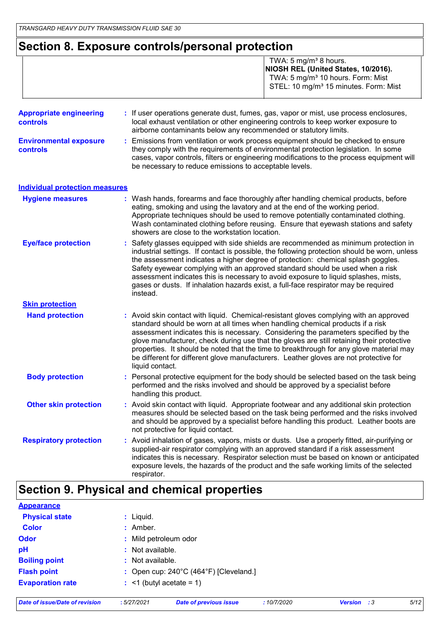## **Section 8. Exposure controls/personal protection**

|                                                   | TWA: 5 mg/m <sup>3</sup> 8 hours.<br>NIOSH REL (United States, 10/2016).<br>TWA: 5 mg/m <sup>3</sup> 10 hours. Form: Mist<br>STEL: 10 mg/m <sup>3</sup> 15 minutes. Form: Mist                                                                                                                                                                                                                                                                                                                                                                                      |  |
|---------------------------------------------------|---------------------------------------------------------------------------------------------------------------------------------------------------------------------------------------------------------------------------------------------------------------------------------------------------------------------------------------------------------------------------------------------------------------------------------------------------------------------------------------------------------------------------------------------------------------------|--|
| <b>Appropriate engineering</b><br><b>controls</b> | : If user operations generate dust, fumes, gas, vapor or mist, use process enclosures,<br>local exhaust ventilation or other engineering controls to keep worker exposure to<br>airborne contaminants below any recommended or statutory limits.                                                                                                                                                                                                                                                                                                                    |  |
| <b>Environmental exposure</b><br>controls         | : Emissions from ventilation or work process equipment should be checked to ensure<br>they comply with the requirements of environmental protection legislation. In some<br>cases, vapor controls, filters or engineering modifications to the process equipment will<br>be necessary to reduce emissions to acceptable levels.                                                                                                                                                                                                                                     |  |
| <b>Individual protection measures</b>             |                                                                                                                                                                                                                                                                                                                                                                                                                                                                                                                                                                     |  |
| <b>Hygiene measures</b>                           | : Wash hands, forearms and face thoroughly after handling chemical products, before<br>eating, smoking and using the lavatory and at the end of the working period.<br>Appropriate techniques should be used to remove potentially contaminated clothing.<br>Wash contaminated clothing before reusing. Ensure that eyewash stations and safety<br>showers are close to the workstation location.                                                                                                                                                                   |  |
| <b>Eye/face protection</b>                        | : Safety glasses equipped with side shields are recommended as minimum protection in<br>industrial settings. If contact is possible, the following protection should be worn, unless<br>the assessment indicates a higher degree of protection: chemical splash goggles.<br>Safety eyewear complying with an approved standard should be used when a risk<br>assessment indicates this is necessary to avoid exposure to liquid splashes, mists,<br>gases or dusts. If inhalation hazards exist, a full-face respirator may be required<br>instead.                 |  |
| <b>Skin protection</b>                            |                                                                                                                                                                                                                                                                                                                                                                                                                                                                                                                                                                     |  |
| <b>Hand protection</b>                            | : Avoid skin contact with liquid. Chemical-resistant gloves complying with an approved<br>standard should be worn at all times when handling chemical products if a risk<br>assessment indicates this is necessary. Considering the parameters specified by the<br>glove manufacturer, check during use that the gloves are still retaining their protective<br>properties. It should be noted that the time to breakthrough for any glove material may<br>be different for different glove manufacturers. Leather gloves are not protective for<br>liquid contact. |  |
| <b>Body protection</b>                            | : Personal protective equipment for the body should be selected based on the task being<br>performed and the risks involved and should be approved by a specialist before<br>handling this product.                                                                                                                                                                                                                                                                                                                                                                 |  |
| <b>Other skin protection</b>                      | : Avoid skin contact with liquid. Appropriate footwear and any additional skin protection<br>measures should be selected based on the task being performed and the risks involved<br>and should be approved by a specialist before handling this product. Leather boots are<br>not protective for liquid contact.                                                                                                                                                                                                                                                   |  |
| <b>Respiratory protection</b>                     | : Avoid inhalation of gases, vapors, mists or dusts. Use a properly fitted, air-purifying or<br>supplied-air respirator complying with an approved standard if a risk assessment<br>indicates this is necessary. Respirator selection must be based on known or anticipated<br>exposure levels, the hazards of the product and the safe working limits of the selected<br>respirator.                                                                                                                                                                               |  |

## **Section 9. Physical and chemical properties**

| <b>Appearance</b>       |                                                             |
|-------------------------|-------------------------------------------------------------|
| <b>Physical state</b>   | $:$ Liquid.                                                 |
| <b>Color</b>            | : Amber.                                                    |
| <b>Odor</b>             | : Mild petroleum odor                                       |
| pH                      | : Not available.                                            |
| <b>Boiling point</b>    | : Not available.                                            |
| <b>Flash point</b>      | : Open cup: $240^{\circ}$ C (464 $^{\circ}$ F) [Cleveland.] |
| <b>Evaporation rate</b> | $:$ <1 (butyl acetate = 1)                                  |
|                         |                                                             |

```
Date of issue/Date of revision : 5/27/2021 Date of previous issue : 10/7/2020 Version : 3 5/12
```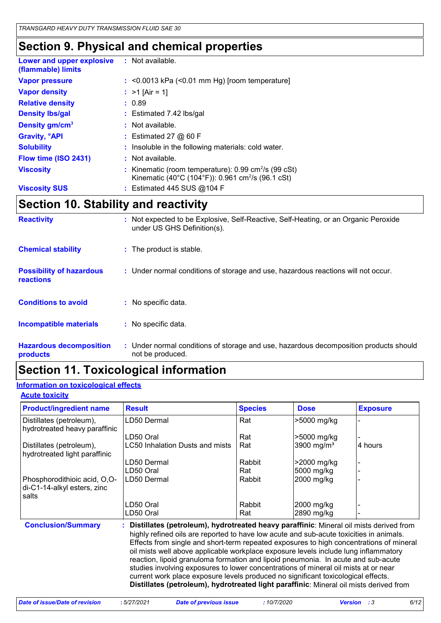## **Section 9. Physical and chemical properties**

| Lower and upper explosive<br>(flammable) limits | : Not available.                                                                                                                       |
|-------------------------------------------------|----------------------------------------------------------------------------------------------------------------------------------------|
| <b>Vapor pressure</b>                           | $:$ <0.0013 kPa (<0.01 mm Hg) [room temperature]                                                                                       |
| <b>Vapor density</b>                            | : $>1$ [Air = 1]                                                                                                                       |
| <b>Relative density</b>                         | : 0.89                                                                                                                                 |
| <b>Density Ibs/gal</b>                          | $:$ Estimated 7.42 lbs/gal                                                                                                             |
| Density gm/cm <sup>3</sup>                      | : Not available.                                                                                                                       |
| <b>Gravity, <sup>o</sup>API</b>                 | : Estimated 27 $@$ 60 F                                                                                                                |
| <b>Solubility</b>                               | : Insoluble in the following materials: cold water.                                                                                    |
| Flow time (ISO 2431)                            | : Not available.                                                                                                                       |
| <b>Viscosity</b>                                | : Kinematic (room temperature): $0.99 \text{ cm}^2/\text{s}$ (99 cSt)<br>Kinematic (40°C (104°F)): 0.961 cm <sup>2</sup> /s (96.1 cSt) |
| <b>Viscosity SUS</b>                            | : Estimated 445 SUS $@104$ F                                                                                                           |

## **Section 10. Stability and reactivity**

| <b>Reactivity</b>                            | : Not expected to be Explosive, Self-Reactive, Self-Heating, or an Organic Peroxide<br>under US GHS Definition(s). |
|----------------------------------------------|--------------------------------------------------------------------------------------------------------------------|
| <b>Chemical stability</b>                    | : The product is stable.                                                                                           |
| <b>Possibility of hazardous</b><br>reactions | : Under normal conditions of storage and use, hazardous reactions will not occur.                                  |
| <b>Conditions to avoid</b>                   | : No specific data.                                                                                                |
| <b>Incompatible materials</b>                | : No specific data.                                                                                                |
| <b>Hazardous decomposition</b><br>products   | : Under normal conditions of storage and use, hazardous decomposition products should<br>not be produced.          |

## **Section 11. Toxicological information**

#### **Information on toxicological effects**

#### **Acute toxicity**

| <b>Product/ingredient name</b>                                       | <b>Result</b>                                                                                                                                                                                                                                                                                                                                                                                                                                                                                                                                                                                                                                                                                                                    | <b>Species</b> | <b>Dose</b>   | <b>Exposure</b> |
|----------------------------------------------------------------------|----------------------------------------------------------------------------------------------------------------------------------------------------------------------------------------------------------------------------------------------------------------------------------------------------------------------------------------------------------------------------------------------------------------------------------------------------------------------------------------------------------------------------------------------------------------------------------------------------------------------------------------------------------------------------------------------------------------------------------|----------------|---------------|-----------------|
| Distillates (petroleum),<br>hydrotreated heavy paraffinic            | LD50 Dermal                                                                                                                                                                                                                                                                                                                                                                                                                                                                                                                                                                                                                                                                                                                      | Rat            | >5000 mg/kg   |                 |
|                                                                      | LD50 Oral                                                                                                                                                                                                                                                                                                                                                                                                                                                                                                                                                                                                                                                                                                                        | Rat            | >5000 mg/kg   |                 |
| Distillates (petroleum),<br>hydrotreated light paraffinic            | LC50 Inhalation Dusts and mists                                                                                                                                                                                                                                                                                                                                                                                                                                                                                                                                                                                                                                                                                                  | Rat            | 3900 mg/ $m3$ | 4 hours         |
|                                                                      | LD50 Dermal                                                                                                                                                                                                                                                                                                                                                                                                                                                                                                                                                                                                                                                                                                                      | Rabbit         | >2000 mg/kg   |                 |
|                                                                      | LD50 Oral                                                                                                                                                                                                                                                                                                                                                                                                                                                                                                                                                                                                                                                                                                                        | Rat            | 5000 mg/kg    |                 |
| Phosphorodithioic acid, O,O-<br>di-C1-14-alkyl esters, zinc<br>salts | LD50 Dermal                                                                                                                                                                                                                                                                                                                                                                                                                                                                                                                                                                                                                                                                                                                      | Rabbit         | 2000 mg/kg    |                 |
|                                                                      | LD50 Oral                                                                                                                                                                                                                                                                                                                                                                                                                                                                                                                                                                                                                                                                                                                        | Rabbit         | 2000 mg/kg    |                 |
|                                                                      | LD50 Oral                                                                                                                                                                                                                                                                                                                                                                                                                                                                                                                                                                                                                                                                                                                        | Rat            | 2890 mg/kg    |                 |
| <b>Conclusion/Summary</b>                                            | : Distillates (petroleum), hydrotreated heavy paraffinic: Mineral oil mists derived from<br>highly refined oils are reported to have low acute and sub-acute toxicities in animals.<br>Effects from single and short-term repeated exposures to high concentrations of mineral<br>oil mists well above applicable workplace exposure levels include lung inflammatory<br>reaction, lipoid granuloma formation and lipoid pneumonia. In acute and sub-acute<br>studies involving exposures to lower concentrations of mineral oil mists at or near<br>current work place exposure levels produced no significant toxicological effects.<br>Distillates (petroleum), hydrotreated light paraffinic: Mineral oil mists derived from |                |               |                 |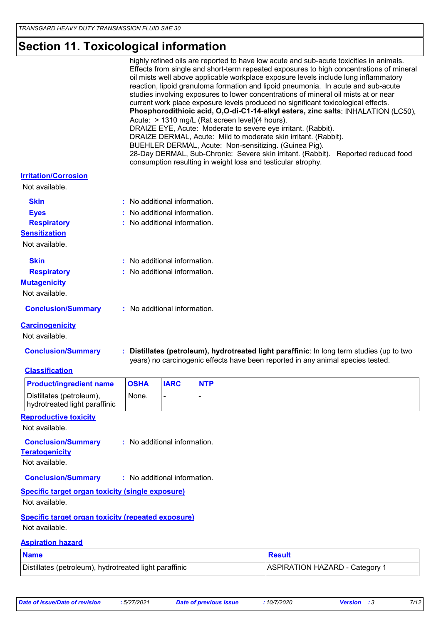## **Section 11. Toxicological information**

|                                                           |                              |                              | highly refined oils are reported to have low acute and sub-acute toxicities in animals.<br>Effects from single and short-term repeated exposures to high concentrations of mineral<br>oil mists well above applicable workplace exposure levels include lung inflammatory<br>reaction, lipoid granuloma formation and lipoid pneumonia. In acute and sub-acute<br>studies involving exposures to lower concentrations of mineral oil mists at or near<br>current work place exposure levels produced no significant toxicological effects.<br>Phosphorodithioic acid, O,O-di-C1-14-alkyl esters, zinc salts: INHALATION (LC50),<br>Acute: > 1310 mg/L (Rat screen level)(4 hours).<br>DRAIZE EYE, Acute: Moderate to severe eye irritant. (Rabbit).<br>DRAIZE DERMAL, Acute: Mild to moderate skin irritant. (Rabbit).<br>BUEHLER DERMAL, Acute: Non-sensitizing. (Guinea Pig).<br>28-Day DERMAL, Sub-Chronic: Severe skin irritant. (Rabbit). Reported reduced food<br>consumption resulting in weight loss and testicular atrophy. |  |
|-----------------------------------------------------------|------------------------------|------------------------------|--------------------------------------------------------------------------------------------------------------------------------------------------------------------------------------------------------------------------------------------------------------------------------------------------------------------------------------------------------------------------------------------------------------------------------------------------------------------------------------------------------------------------------------------------------------------------------------------------------------------------------------------------------------------------------------------------------------------------------------------------------------------------------------------------------------------------------------------------------------------------------------------------------------------------------------------------------------------------------------------------------------------------------------|--|
| <b>Irritation/Corrosion</b>                               |                              |                              |                                                                                                                                                                                                                                                                                                                                                                                                                                                                                                                                                                                                                                                                                                                                                                                                                                                                                                                                                                                                                                      |  |
| Not available.                                            |                              |                              |                                                                                                                                                                                                                                                                                                                                                                                                                                                                                                                                                                                                                                                                                                                                                                                                                                                                                                                                                                                                                                      |  |
| <b>Skin</b>                                               |                              | : No additional information. |                                                                                                                                                                                                                                                                                                                                                                                                                                                                                                                                                                                                                                                                                                                                                                                                                                                                                                                                                                                                                                      |  |
| <b>Eyes</b>                                               |                              | : No additional information. |                                                                                                                                                                                                                                                                                                                                                                                                                                                                                                                                                                                                                                                                                                                                                                                                                                                                                                                                                                                                                                      |  |
| <b>Respiratory</b>                                        |                              | : No additional information. |                                                                                                                                                                                                                                                                                                                                                                                                                                                                                                                                                                                                                                                                                                                                                                                                                                                                                                                                                                                                                                      |  |
| <b>Sensitization</b>                                      |                              |                              |                                                                                                                                                                                                                                                                                                                                                                                                                                                                                                                                                                                                                                                                                                                                                                                                                                                                                                                                                                                                                                      |  |
| Not available.                                            |                              |                              |                                                                                                                                                                                                                                                                                                                                                                                                                                                                                                                                                                                                                                                                                                                                                                                                                                                                                                                                                                                                                                      |  |
| <b>Skin</b>                                               |                              | : No additional information. |                                                                                                                                                                                                                                                                                                                                                                                                                                                                                                                                                                                                                                                                                                                                                                                                                                                                                                                                                                                                                                      |  |
| <b>Respiratory</b>                                        | : No additional information. |                              |                                                                                                                                                                                                                                                                                                                                                                                                                                                                                                                                                                                                                                                                                                                                                                                                                                                                                                                                                                                                                                      |  |
| <b>Mutagenicity</b>                                       |                              |                              |                                                                                                                                                                                                                                                                                                                                                                                                                                                                                                                                                                                                                                                                                                                                                                                                                                                                                                                                                                                                                                      |  |
| Not available.                                            |                              |                              |                                                                                                                                                                                                                                                                                                                                                                                                                                                                                                                                                                                                                                                                                                                                                                                                                                                                                                                                                                                                                                      |  |
| <b>Conclusion/Summary</b>                                 |                              | : No additional information. |                                                                                                                                                                                                                                                                                                                                                                                                                                                                                                                                                                                                                                                                                                                                                                                                                                                                                                                                                                                                                                      |  |
| <b>Carcinogenicity</b>                                    |                              |                              |                                                                                                                                                                                                                                                                                                                                                                                                                                                                                                                                                                                                                                                                                                                                                                                                                                                                                                                                                                                                                                      |  |
| Not available.                                            |                              |                              |                                                                                                                                                                                                                                                                                                                                                                                                                                                                                                                                                                                                                                                                                                                                                                                                                                                                                                                                                                                                                                      |  |
| <b>Conclusion/Summary</b>                                 |                              |                              | : Distillates (petroleum), hydrotreated light paraffinic: In long term studies (up to two<br>years) no carcinogenic effects have been reported in any animal species tested.                                                                                                                                                                                                                                                                                                                                                                                                                                                                                                                                                                                                                                                                                                                                                                                                                                                         |  |
| <b>Classification</b>                                     |                              |                              |                                                                                                                                                                                                                                                                                                                                                                                                                                                                                                                                                                                                                                                                                                                                                                                                                                                                                                                                                                                                                                      |  |
| <b>Product/ingredient name</b>                            | <b>OSHA</b>                  | <b>IARC</b>                  | <b>NTP</b>                                                                                                                                                                                                                                                                                                                                                                                                                                                                                                                                                                                                                                                                                                                                                                                                                                                                                                                                                                                                                           |  |
| Distillates (petroleum),<br>hydrotreated light paraffinic | None.                        | $\blacksquare$               |                                                                                                                                                                                                                                                                                                                                                                                                                                                                                                                                                                                                                                                                                                                                                                                                                                                                                                                                                                                                                                      |  |
| <b>Reproductive toxicity</b>                              |                              |                              |                                                                                                                                                                                                                                                                                                                                                                                                                                                                                                                                                                                                                                                                                                                                                                                                                                                                                                                                                                                                                                      |  |
| Not available.                                            |                              |                              |                                                                                                                                                                                                                                                                                                                                                                                                                                                                                                                                                                                                                                                                                                                                                                                                                                                                                                                                                                                                                                      |  |
| <b>Conclusion/Summary</b><br><b>Teratogenicity</b>        |                              | : No additional information. |                                                                                                                                                                                                                                                                                                                                                                                                                                                                                                                                                                                                                                                                                                                                                                                                                                                                                                                                                                                                                                      |  |

Not available.

**Conclusion/Summary :** No additional information.

## **Specific target organ toxicity (single exposure)**

Not available.

## **Specific target organ toxicity (repeated exposure)**

Not available.

| <b>Aspiration hazard</b> |
|--------------------------|
| <b>Namo</b>              |

| <b>Name</b>                                            | <b>Result</b>                         |  |
|--------------------------------------------------------|---------------------------------------|--|
| Distillates (petroleum), hydrotreated light paraffinic | <b>ASPIRATION HAZARD - Category 1</b> |  |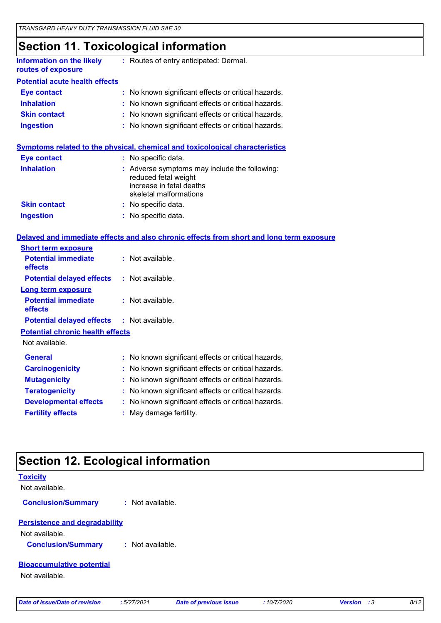#### **Section 11. Toxicological information**

|                                                        | <u>sonon i ili romoologioal illiofilianoli</u>                                                                              |
|--------------------------------------------------------|-----------------------------------------------------------------------------------------------------------------------------|
| <b>Information on the likely</b><br>routes of exposure | : Routes of entry anticipated: Dermal.                                                                                      |
| <b>Potential acute health effects</b>                  |                                                                                                                             |
| <b>Eye contact</b>                                     | : No known significant effects or critical hazards.                                                                         |
| <b>Inhalation</b>                                      | No known significant effects or critical hazards.                                                                           |
| <b>Skin contact</b>                                    | : No known significant effects or critical hazards.                                                                         |
| <b>Ingestion</b>                                       | : No known significant effects or critical hazards.                                                                         |
|                                                        | Symptoms related to the physical, chemical and toxicological characteristics                                                |
| <b>Eye contact</b>                                     | : No specific data.                                                                                                         |
| <b>Inhalation</b>                                      | : Adverse symptoms may include the following:<br>reduced fetal weight<br>increase in fetal deaths<br>skeletal malformations |
| <b>Skin contact</b>                                    | : No specific data.                                                                                                         |
| <b>Ingestion</b>                                       | : No specific data.                                                                                                         |
| <b>Short term exposure</b>                             | Delayed and immediate effects and also chronic effects from short and long term exposure                                    |
| <b>Potential immediate</b><br>effects                  | : Not available.                                                                                                            |
| <b>Potential delayed effects</b>                       | : Not available.                                                                                                            |
| <b>Long term exposure</b>                              |                                                                                                                             |
| <b>Potential immediate</b><br>effects                  | : Not available.                                                                                                            |
| <b>Potential delayed effects</b>                       | : Not available.                                                                                                            |
| <b>Potential chronic health effects</b>                |                                                                                                                             |
| Not available.                                         |                                                                                                                             |
| <b>General</b>                                         | : No known significant effects or critical hazards.                                                                         |
| <b>Carcinogenicity</b>                                 | : No known significant effects or critical hazards.                                                                         |
| <b>Mutagenicity</b>                                    | : No known significant effects or critical hazards.                                                                         |
| <b>Teratogenicity</b>                                  | No known significant effects or critical hazards.                                                                           |

- **Developmental effects :** No known significant effects or critical hazards.
- **Fertility effects :** May damage fertility.

## **Section 12. Ecological information**

| Section 12. Ecological information   |                  |                               |            |                              |      |  |
|--------------------------------------|------------------|-------------------------------|------------|------------------------------|------|--|
| <b>Toxicity</b><br>Not available.    |                  |                               |            |                              |      |  |
| <b>Conclusion/Summary</b>            | : Not available. |                               |            |                              |      |  |
| <b>Persistence and degradability</b> |                  |                               |            |                              |      |  |
| Not available.                       |                  |                               |            |                              |      |  |
| <b>Conclusion/Summary</b>            | : Not available. |                               |            |                              |      |  |
| <b>Bioaccumulative potential</b>     |                  |                               |            |                              |      |  |
| Not available.                       |                  |                               |            |                              |      |  |
| Date of issue/Date of revision       | :5/27/2021       | <b>Date of previous issue</b> | :10/7/2020 | <b>Version</b><br>$\cdot$ :3 | 8/12 |  |

٦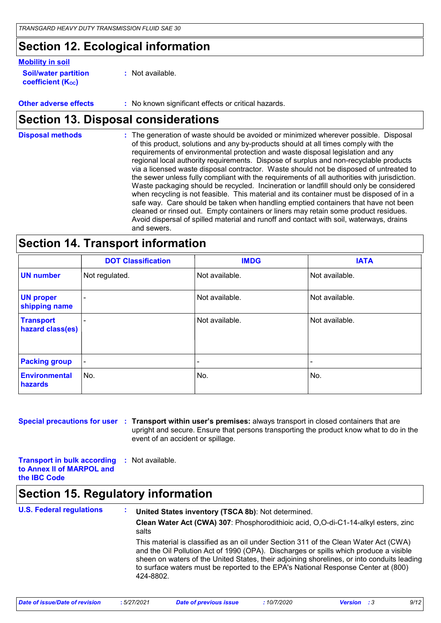## **Section 12. Ecological information**

#### **Mobility in soil**

| <b>Soil/water partition</b> | : Not available. |
|-----------------------------|------------------|
| <b>coefficient (Koc)</b>    |                  |

**Other adverse effects :** No known significant effects or critical hazards.

## **Section 13. Disposal considerations**

The generation of waste should be avoided or minimized wherever possible. Disposal of this product, solutions and any by-products should at all times comply with the requirements of environmental protection and waste disposal legislation and any regional local authority requirements. Dispose of surplus and non-recyclable products via a licensed waste disposal contractor. Waste should not be disposed of untreated to the sewer unless fully compliant with the requirements of all authorities with jurisdiction. Waste packaging should be recycled. Incineration or landfill should only be considered when recycling is not feasible. This material and its container must be disposed of in a safe way. Care should be taken when handling emptied containers that have not been cleaned or rinsed out. Empty containers or liners may retain some product residues. Avoid dispersal of spilled material and runoff and contact with soil, waterways, drains and sewers. **Disposal methods :**

## **Section 14. Transport information**

|                                      | <b>DOT Classification</b> | <b>IMDG</b>              | <b>IATA</b>    |
|--------------------------------------|---------------------------|--------------------------|----------------|
| <b>UN number</b>                     | Not regulated.            | Not available.           | Not available. |
| <b>UN proper</b><br>shipping name    | $\overline{\phantom{0}}$  | Not available.           | Not available. |
| <b>Transport</b><br>hazard class(es) |                           | Not available.           | Not available. |
| <b>Packing group</b>                 | $\overline{\phantom{a}}$  | $\overline{\phantom{0}}$ | -              |
| <b>Environmental</b><br>hazards      | ∣No.                      | No.                      | No.            |

**Special precautions for user** : Transport within user's premises: always transport in closed containers that are upright and secure. Ensure that persons transporting the product know what to do in the event of an accident or spillage.

**Transport in bulk according :** Not available. **to Annex II of MARPOL and the IBC Code**

## **Section 15. Regulatory information**

| <b>U.S. Federal regulations</b> | United States inventory (TSCA 8b): Not determined.                                                                                                                                                                                                                                                                                                                            |
|---------------------------------|-------------------------------------------------------------------------------------------------------------------------------------------------------------------------------------------------------------------------------------------------------------------------------------------------------------------------------------------------------------------------------|
|                                 | Clean Water Act (CWA) 307: Phosphorodithioic acid, O,O-di-C1-14-alkyl esters, zinc<br>salts                                                                                                                                                                                                                                                                                   |
|                                 | This material is classified as an oil under Section 311 of the Clean Water Act (CWA)<br>and the Oil Pollution Act of 1990 (OPA). Discharges or spills which produce a visible<br>sheen on waters of the United States, their adjoining shorelines, or into conduits leading<br>to surface waters must be reported to the EPA's National Response Center at (800)<br>424-8802. |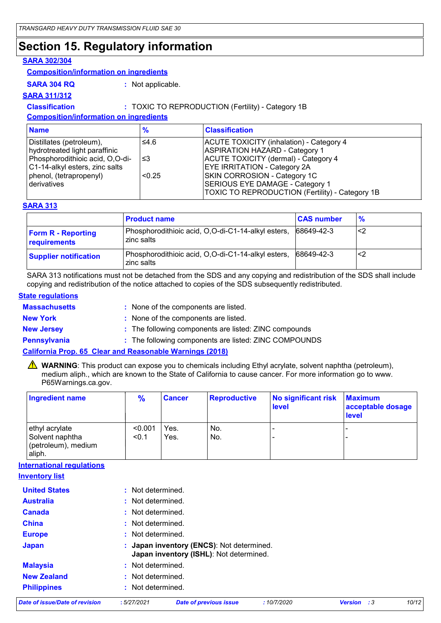#### **Section 15. Regulatory information**

#### **SARA 302/304**

#### **Composition/information on ingredients**

#### **SARA 304 RQ :** Not applicable.

#### **SARA 311/312**

#### **Classification :** TOXIC TO REPRODUCTION (Fertility) - Category 1B

#### **Composition/information on ingredients**

| <b>Name</b>                                                                                                                                                              | $\frac{9}{6}$          | <b>Classification</b>                                                                                                                                                                                                                                                                         |
|--------------------------------------------------------------------------------------------------------------------------------------------------------------------------|------------------------|-----------------------------------------------------------------------------------------------------------------------------------------------------------------------------------------------------------------------------------------------------------------------------------------------|
| Distillates (petroleum),<br>hydrotreated light paraffinic<br>Phosphorodithioic acid, O,O-di-<br>C1-14-alkyl esters, zinc salts<br>phenol, (tetrapropenyl)<br>derivatives | ≤4.6<br>ו≥ ≥<br>< 0.25 | ACUTE TOXICITY (inhalation) - Category 4<br><b>ASPIRATION HAZARD - Category 1</b><br>ACUTE TOXICITY (dermal) - Category 4<br><b>EYE IRRITATION - Category 2A</b><br><b>SKIN CORROSION - Category 1C</b><br>SERIOUS EYE DAMAGE - Category 1<br>TOXIC TO REPRODUCTION (Fertility) - Category 1B |

#### **SARA 313**

|                                           | <b>Product name</b>                                              | <b>CAS number</b> | $\frac{9}{6}$ |
|-------------------------------------------|------------------------------------------------------------------|-------------------|---------------|
| <b>Form R - Reporting</b><br>requirements | Phosphorodithioic acid, O,O-di-C1-14-alkyl esters,<br>zinc salts | 68649-42-3        | <2            |
| <b>Supplier notification</b>              | Phosphorodithioic acid, O,O-di-C1-14-alkyl esters,<br>zinc salts | 68649-42-3        | <2            |

SARA 313 notifications must not be detached from the SDS and any copying and redistribution of the SDS shall include copying and redistribution of the notice attached to copies of the SDS subsequently redistributed.

#### **State regulations**

| <b>Massachusetts</b> | : None of the components are listed.                  |
|----------------------|-------------------------------------------------------|
| <b>New York</b>      | : None of the components are listed.                  |
| <b>New Jersey</b>    | : The following components are listed: ZINC compounds |
| <b>Pennsylvania</b>  | : The following components are listed: ZINC COMPOUNDS |

#### **California Prop. 65 Clear and Reasonable Warnings (2018)**

WARNING: This product can expose you to chemicals including Ethyl acrylate, solvent naphtha (petroleum), medium aliph., which are known to the State of California to cause cancer. For more information go to www. P65Warnings.ca.gov.

| Ingredient name                                  | $\frac{9}{6}$ | <b>Cancer</b> | <b>Reproductive</b> | No significant risk<br><b>level</b> | <b>Maximum</b><br>acceptable dosage<br><b>level</b> |
|--------------------------------------------------|---------------|---------------|---------------------|-------------------------------------|-----------------------------------------------------|
| ethyl acrylate                                   | < 0.001       | Yes.          | No.                 |                                     |                                                     |
| Solvent naphtha<br>(petroleum), medium<br>aliph. | < 0.1         | Yes.          | No.                 | -                                   |                                                     |

**International regulations**

#### **Inventory list**

| Date of issue/Date of revision | :5/27/2021        | <b>Date of previous issue</b>                                                        | :10/7/2020 | <b>Version</b> : 3 | 10/12 |
|--------------------------------|-------------------|--------------------------------------------------------------------------------------|------------|--------------------|-------|
| <b>Philippines</b>             | : Not determined. |                                                                                      |            |                    |       |
| <b>New Zealand</b>             | : Not determined. |                                                                                      |            |                    |       |
| <b>Malaysia</b>                | : Not determined. |                                                                                      |            |                    |       |
| <b>Japan</b>                   |                   | : Japan inventory (ENCS): Not determined.<br>Japan inventory (ISHL): Not determined. |            |                    |       |
| <b>Europe</b>                  | : Not determined. |                                                                                      |            |                    |       |
| <b>China</b>                   | : Not determined. |                                                                                      |            |                    |       |
| Canada                         | : Not determined. |                                                                                      |            |                    |       |
| <b>Australia</b>               | : Not determined. |                                                                                      |            |                    |       |
| <b>United States</b>           | : Not determined. |                                                                                      |            |                    |       |
|                                |                   |                                                                                      |            |                    |       |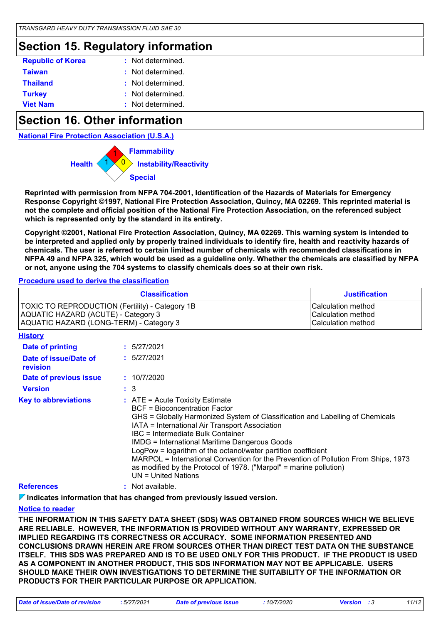## **Section 15. Regulatory information**

| <b>Republic of Korea</b> | : Not determined. |  |
|--------------------------|-------------------|--|
| <b>Taiwan</b>            | : Not determined. |  |
| <b>Thailand</b>          | : Not determined. |  |
| <b>Turkey</b>            | : Not determined. |  |
| <b>Viet Nam</b>          | : Not determined. |  |

## **Section 16. Other information**

**National Fire Protection Association (U.S.A.)**



**Reprinted with permission from NFPA 704-2001, Identification of the Hazards of Materials for Emergency Response Copyright ©1997, National Fire Protection Association, Quincy, MA 02269. This reprinted material is not the complete and official position of the National Fire Protection Association, on the referenced subject which is represented only by the standard in its entirety.**

**Copyright ©2001, National Fire Protection Association, Quincy, MA 02269. This warning system is intended to be interpreted and applied only by properly trained individuals to identify fire, health and reactivity hazards of chemicals. The user is referred to certain limited number of chemicals with recommended classifications in NFPA 49 and NFPA 325, which would be used as a guideline only. Whether the chemicals are classified by NFPA or not, anyone using the 704 systems to classify chemicals does so at their own risk.**

#### **Procedure used to derive the classification**

| <b>Classification</b>                                                                                                             |                                                                                                                                                                                                                                                                                                                                                                                                                                                                                                                                                               |             | <b>Justification</b>                                           |  |
|-----------------------------------------------------------------------------------------------------------------------------------|---------------------------------------------------------------------------------------------------------------------------------------------------------------------------------------------------------------------------------------------------------------------------------------------------------------------------------------------------------------------------------------------------------------------------------------------------------------------------------------------------------------------------------------------------------------|-------------|----------------------------------------------------------------|--|
| TOXIC TO REPRODUCTION (Fertility) - Category 1B<br>AQUATIC HAZARD (ACUTE) - Category 3<br>AQUATIC HAZARD (LONG-TERM) - Category 3 |                                                                                                                                                                                                                                                                                                                                                                                                                                                                                                                                                               |             | Calculation method<br>Calculation method<br>Calculation method |  |
| <b>History</b>                                                                                                                    |                                                                                                                                                                                                                                                                                                                                                                                                                                                                                                                                                               |             |                                                                |  |
| <b>Date of printing</b>                                                                                                           |                                                                                                                                                                                                                                                                                                                                                                                                                                                                                                                                                               | : 5/27/2021 |                                                                |  |
| Date of issue/Date of<br>revision                                                                                                 |                                                                                                                                                                                                                                                                                                                                                                                                                                                                                                                                                               | : 5/27/2021 |                                                                |  |
| Date of previous issue                                                                                                            |                                                                                                                                                                                                                                                                                                                                                                                                                                                                                                                                                               | : 10/7/2020 |                                                                |  |
| <b>Version</b>                                                                                                                    |                                                                                                                                                                                                                                                                                                                                                                                                                                                                                                                                                               | : 3         |                                                                |  |
| <b>Key to abbreviations</b>                                                                                                       | $:$ ATE = Acute Toxicity Estimate<br><b>BCF</b> = Bioconcentration Factor<br>GHS = Globally Harmonized System of Classification and Labelling of Chemicals<br>IATA = International Air Transport Association<br>IBC = Intermediate Bulk Container<br><b>IMDG = International Maritime Dangerous Goods</b><br>LogPow = logarithm of the octanol/water partition coefficient<br>MARPOL = International Convention for the Prevention of Pollution From Ships, 1973<br>as modified by the Protocol of 1978. ("Marpol" = marine pollution)<br>UN = United Nations |             |                                                                |  |
| <b>References</b>                                                                                                                 | Not available.                                                                                                                                                                                                                                                                                                                                                                                                                                                                                                                                                |             |                                                                |  |

**Indicates information that has changed from previously issued version.**

#### **Notice to reader**

**THE INFORMATION IN THIS SAFETY DATA SHEET (SDS) WAS OBTAINED FROM SOURCES WHICH WE BELIEVE ARE RELIABLE. HOWEVER, THE INFORMATION IS PROVIDED WITHOUT ANY WARRANTY, EXPRESSED OR IMPLIED REGARDING ITS CORRECTNESS OR ACCURACY. SOME INFORMATION PRESENTED AND CONCLUSIONS DRAWN HEREIN ARE FROM SOURCES OTHER THAN DIRECT TEST DATA ON THE SUBSTANCE ITSELF. THIS SDS WAS PREPARED AND IS TO BE USED ONLY FOR THIS PRODUCT. IF THE PRODUCT IS USED AS A COMPONENT IN ANOTHER PRODUCT, THIS SDS INFORMATION MAY NOT BE APPLICABLE. USERS SHOULD MAKE THEIR OWN INVESTIGATIONS TO DETERMINE THE SUITABILITY OF THE INFORMATION OR PRODUCTS FOR THEIR PARTICULAR PURPOSE OR APPLICATION.**